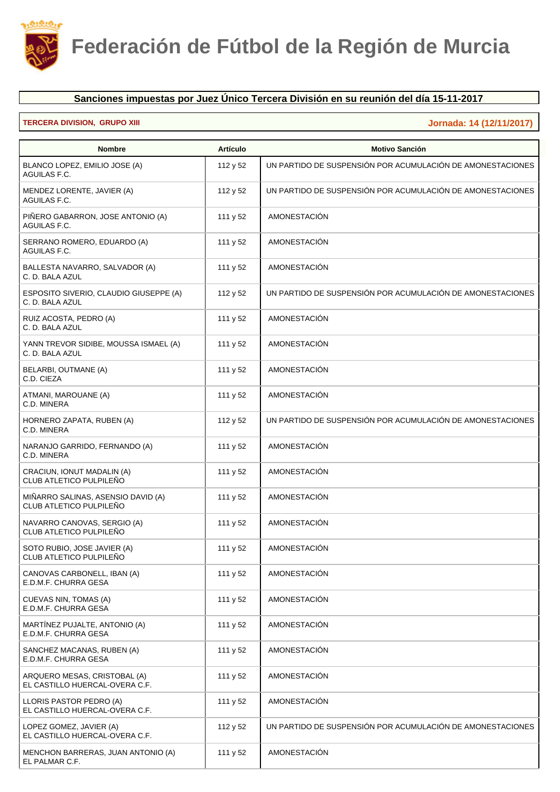

## **Sanciones impuestas por Juez Único Tercera División en su reunión del día 15-11-2017**

## **TERCERA DIVISION, GRUPO XIII Jornada: 14 (12/11/2017)**

| <b>Nombre</b>                                                  | <b>Artículo</b> | <b>Motivo Sanción</b>                                      |
|----------------------------------------------------------------|-----------------|------------------------------------------------------------|
| BLANCO LOPEZ, EMILIO JOSE (A)<br>AGUILAS F.C.                  | 112 y 52        | UN PARTIDO DE SUSPENSIÓN POR ACUMULACIÓN DE AMONESTACIONES |
| MENDEZ LORENTE, JAVIER (A)<br>AGUILAS F.C.                     | 112 y 52        | UN PARTIDO DE SUSPENSIÓN POR ACUMULACIÓN DE AMONESTACIONES |
| PIÑERO GABARRON, JOSE ANTONIO (A)<br>AGUILAS F.C.              | 111 y 52        | AMONESTACIÓN                                               |
| SERRANO ROMERO, EDUARDO (A)<br>AGUILAS F.C.                    | 111 y 52        | <b>AMONESTACIÓN</b>                                        |
| BALLESTA NAVARRO, SALVADOR (A)<br>C. D. BALA AZUL              | 111 y 52        | AMONESTACIÓN                                               |
| ESPOSITO SIVERIO, CLAUDIO GIUSEPPE (A)<br>C. D. BALA AZUL      | 112 y 52        | UN PARTIDO DE SUSPENSIÓN POR ACUMULACIÓN DE AMONESTACIONES |
| RUIZ ACOSTA, PEDRO (A)<br>C. D. BALA AZUL                      | 111 y 52        | AMONESTACIÓN                                               |
| YANN TREVOR SIDIBE, MOUSSA ISMAEL (A)<br>C. D. BALA AZUL       | 111 y 52        | <b>AMONESTACIÓN</b>                                        |
| BELARBI, OUTMANE (A)<br>C.D. CIEZA                             | 111 y 52        | <b>AMONESTACIÓN</b>                                        |
| ATMANI, MAROUANE (A)<br>C.D. MINERA                            | 111 y 52        | AMONESTACIÓN                                               |
| HORNERO ZAPATA, RUBEN (A)<br>C.D. MINERA                       | 112 y 52        | UN PARTIDO DE SUSPENSIÓN POR ACUMULACIÓN DE AMONESTACIONES |
| NARANJO GARRIDO, FERNANDO (A)<br>C.D. MINERA                   | 111 y 52        | <b>AMONESTACIÓN</b>                                        |
| CRACIUN, IONUT MADALIN (A)<br>CLUB ATLETICO PULPILEÑO          | 111 y 52        | AMONESTACIÓN                                               |
| MIÑARRO SALINAS, ASENSIO DAVID (A)<br>CLUB ATLETICO PULPILEÑO  | 111 y 52        | AMONESTACIÓN                                               |
| NAVARRO CANOVAS, SERGIO (A)<br>CLUB ATLETICO PULPILEÑO         | 111 y 52        | AMONESTACIÓN                                               |
| SOTO RUBIO, JOSE JAVIER (A)<br>CLUB ATLETICO PULPILEÑO         | 111 y 52        | <b>AMONESTACIÓN</b>                                        |
| CANOVAS CARBONELL, IBAN (A)<br>E.D.M.F. CHURRA GESA            | 111 y 52        | AMONESTACIÓN                                               |
| CUEVAS NIN, TOMAS (A)<br>E.D.M.F. CHURRA GESA                  | 111 y 52        | AMONESTACIÓN                                               |
| MARTÍNEZ PUJALTE, ANTONIO (A)<br>E.D.M.F. CHURRA GESA          | 111 y 52        | AMONESTACIÓN                                               |
| SANCHEZ MACANAS, RUBEN (A)<br>E.D.M.F. CHURRA GESA             | 111 y 52        | AMONESTACIÓN                                               |
| ARQUERO MESAS, CRISTOBAL (A)<br>EL CASTILLO HUERCAL-OVERA C.F. | 111 y 52        | <b>AMONESTACIÓN</b>                                        |
| LLORIS PASTOR PEDRO (A)<br>EL CASTILLO HUERCAL-OVERA C.F.      | 111 y 52        | AMONESTACIÓN                                               |
| LOPEZ GOMEZ, JAVIER (A)<br>EL CASTILLO HUERCAL-OVERA C.F.      | 112 y 52        | UN PARTIDO DE SUSPENSIÓN POR ACUMULACIÓN DE AMONESTACIONES |
| MENCHON BARRERAS, JUAN ANTONIO (A)<br>EL PALMAR C.F.           | 111 y 52        | AMONESTACIÓN                                               |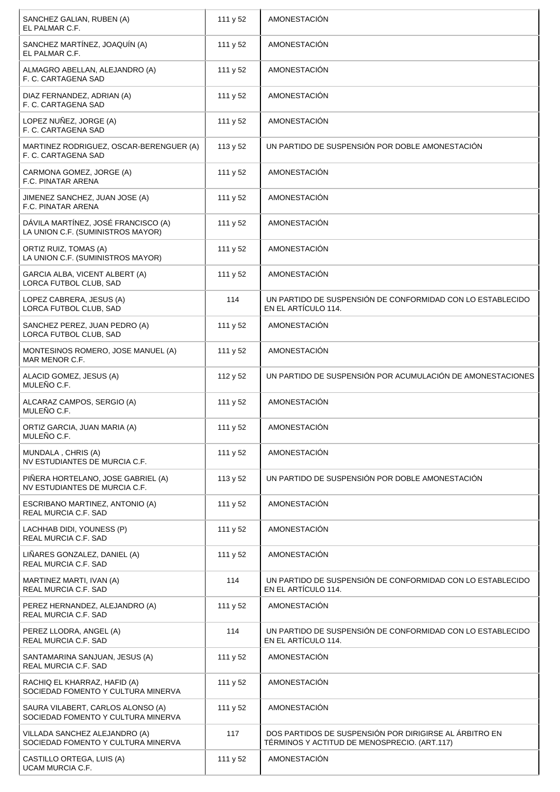| SANCHEZ GALIAN, RUBEN (A)<br>EL PALMAR C.F.                              | 111 y 52 | <b>AMONESTACIÓN</b>                                                                                    |
|--------------------------------------------------------------------------|----------|--------------------------------------------------------------------------------------------------------|
| SANCHEZ MARTÍNEZ, JOAQUÍN (A)<br>EL PALMAR C.F.                          | 111 y 52 | <b>AMONESTACIÓN</b>                                                                                    |
| ALMAGRO ABELLAN, ALEJANDRO (A)<br>F. C. CARTAGENA SAD                    | 111 y 52 | AMONESTACIÓN                                                                                           |
| DIAZ FERNANDEZ, ADRIAN (A)<br>F. C. CARTAGENA SAD                        | 111 y 52 | AMONESTACIÓN                                                                                           |
| LOPEZ NUÑEZ, JORGE (A)<br>F. C. CARTAGENA SAD                            | 111 y 52 | <b>AMONESTACIÓN</b>                                                                                    |
| MARTINEZ RODRIGUEZ, OSCAR-BERENGUER (A)<br>F. C. CARTAGENA SAD           | 113 y 52 | UN PARTIDO DE SUSPENSIÓN POR DOBLE AMONESTACIÓN                                                        |
| CARMONA GOMEZ, JORGE (A)<br><b>F.C. PINATAR ARENA</b>                    | 111 y 52 | <b>AMONESTACIÓN</b>                                                                                    |
| JIMENEZ SANCHEZ, JUAN JOSE (A)<br><b>F.C. PINATAR ARENA</b>              | 111 y 52 | <b>AMONESTACIÓN</b>                                                                                    |
| DÁVILA MARTÍNEZ, JOSÉ FRANCISCO (A)<br>LA UNION C.F. (SUMINISTROS MAYOR) | 111 y 52 | AMONESTACIÓN                                                                                           |
| ORTIZ RUIZ, TOMAS (A)<br>LA UNION C.F. (SUMINISTROS MAYOR)               | 111 y 52 | AMONESTACIÓN                                                                                           |
| GARCIA ALBA, VICENT ALBERT (A)<br><b>LORCA FUTBOL CLUB. SAD</b>          | 111 y 52 | AMONESTACIÓN                                                                                           |
| LOPEZ CABRERA, JESUS (A)<br>LORCA FUTBOL CLUB, SAD                       | 114      | UN PARTIDO DE SUSPENSIÓN DE CONFORMIDAD CON LO ESTABLECIDO<br>EN EL ARTÍCULO 114.                      |
| SANCHEZ PEREZ, JUAN PEDRO (A)<br>LORCA FUTBOL CLUB, SAD                  | 111 y 52 | <b>AMONESTACIÓN</b>                                                                                    |
| MONTESINOS ROMERO, JOSE MANUEL (A)<br>MAR MENOR C.F.                     | 111 y 52 | AMONESTACIÓN                                                                                           |
| ALACID GOMEZ, JESUS (A)<br>MULEÑO C.F.                                   | 112 y 52 | UN PARTIDO DE SUSPENSIÓN POR ACUMULACIÓN DE AMONESTACIONES                                             |
| ALCARAZ CAMPOS, SERGIO (A)<br>MULEÑO C.F.                                | 111 y 52 | AMONESTACIÓN                                                                                           |
| ORTIZ GARCIA, JUAN MARIA (A)<br>MULENO C.F.                              | 111 y 52 | <b>AMONESTACIÓN</b>                                                                                    |
| MUNDALA, CHRIS (A)<br>NV ESTUDIANTES DE MURCIA C.F.                      | 111 y 52 | <b>AMONESTACIÓN</b>                                                                                    |
| PIÑERA HORTELANO, JOSE GABRIEL (A)<br>NV ESTUDIANTES DE MURCIA C.F.      | 113 y 52 | UN PARTIDO DE SUSPENSIÓN POR DOBLE AMONESTACIÓN                                                        |
| ESCRIBANO MARTINEZ, ANTONIO (A)<br>REAL MURCIA C.F. SAD                  | 111 y 52 | AMONESTACIÓN                                                                                           |
| LACHHAB DIDI, YOUNESS (P)<br><b>REAL MURCIA C.F. SAD</b>                 | 111 y 52 | AMONESTACIÓN                                                                                           |
| LINARES GONZALEZ, DANIEL (A)<br>REAL MURCIA C.F. SAD                     | 111 y 52 | AMONESTACIÓN                                                                                           |
| MARTINEZ MARTI, IVAN (A)<br>REAL MURCIA C.F. SAD                         | 114      | UN PARTIDO DE SUSPENSIÓN DE CONFORMIDAD CON LO ESTABLECIDO<br>EN EL ARTÍCULO 114.                      |
| PEREZ HERNANDEZ, ALEJANDRO (A)<br><b>REAL MURCIA C.F. SAD</b>            | 111 y 52 | <b>AMONESTACIÓN</b>                                                                                    |
| PEREZ LLODRA, ANGEL (A)<br><b>REAL MURCIA C.F. SAD</b>                   | 114      | UN PARTIDO DE SUSPENSIÓN DE CONFORMIDAD CON LO ESTABLECIDO<br>EN EL ARTÍCULO 114.                      |
| SANTAMARINA SANJUAN, JESUS (A)<br>REAL MURCIA C.F. SAD                   | 111 y 52 | <b>AMONESTACIÓN</b>                                                                                    |
| RACHIQ EL KHARRAZ, HAFID (A)<br>SOCIEDAD FOMENTO Y CULTURA MINERVA       | 111 y 52 | <b>AMONESTACIÓN</b>                                                                                    |
| SAURA VILABERT, CARLOS ALONSO (A)<br>SOCIEDAD FOMENTO Y CULTURA MINERVA  | 111 y 52 | AMONESTACIÓN                                                                                           |
| VILLADA SANCHEZ ALEJANDRO (A)<br>SOCIEDAD FOMENTO Y CULTURA MINERVA      | 117      | DOS PARTIDOS DE SUSPENSIÓN POR DIRIGIRSE AL ÁRBITRO EN<br>TÉRMINOS Y ACTITUD DE MENOSPRECIO. (ART.117) |
| CASTILLO ORTEGA, LUIS (A)<br>UCAM MURCIA C.F.                            | 111 y 52 | <b>AMONESTACIÓN</b>                                                                                    |